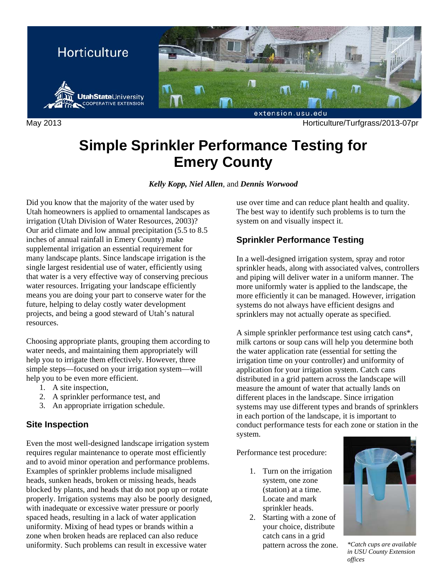

May 2013 Horticulture/Turfgrass/2013-07pr

# **Simple Sprinkler Performance Testing for Emery County**

*Kelly Kopp, Niel Allen*, and *Dennis Worwood* 

Did you know that the majority of the water used by Utah homeowners is applied to ornamental landscapes as irrigation (Utah Division of Water Resources, 2003)? Our arid climate and low annual precipitation (5.5 to 8.5 inches of annual rainfall in Emery County) make supplemental irrigation an essential requirement for many landscape plants. Since landscape irrigation is the single largest residential use of water, efficiently using that water is a very effective way of conserving precious water resources. Irrigating your landscape efficiently means you are doing your part to conserve water for the future, helping to delay costly water development projects, and being a good steward of Utah's natural resources.

Choosing appropriate plants, grouping them according to water needs, and maintaining them appropriately will help you to irrigate them effectively. However, three simple steps—focused on your irrigation system—will help you to be even more efficient.

- 1. A site inspection,
- 2. A sprinkler performance test, and
- 3. An appropriate irrigation schedule.

#### **Site Inspection**

Even the most well-designed landscape irrigation system requires regular maintenance to operate most efficiently and to avoid minor operation and performance problems. Examples of sprinkler problems include misaligned heads, sunken heads, broken or missing heads, heads blocked by plants, and heads that do not pop up or rotate properly. Irrigation systems may also be poorly designed, with inadequate or excessive water pressure or poorly spaced heads, resulting in a lack of water application uniformity. Mixing of head types or brands within a zone when broken heads are replaced can also reduce uniformity. Such problems can result in excessive water

use over time and can reduce plant health and quality. The best way to identify such problems is to turn the system on and visually inspect it.

## **Sprinkler Performance Testing**

In a well-designed irrigation system, spray and rotor sprinkler heads, along with associated valves, controllers and piping will deliver water in a uniform manner. The more uniformly water is applied to the landscape, the more efficiently it can be managed. However, irrigation systems do not always have efficient designs and sprinklers may not actually operate as specified.

A simple sprinkler performance test using catch cans\*, milk cartons or soup cans will help you determine both the water application rate (essential for setting the irrigation time on your controller) and uniformity of application for your irrigation system. Catch cans distributed in a grid pattern across the landscape will measure the amount of water that actually lands on different places in the landscape. Since irrigation systems may use different types and brands of sprinklers in each portion of the landscape, it is important to conduct performance tests for each zone or station in the system.

Performance test procedure:

- 1. Turn on the irrigation system, one zone (station) at a time. Locate and mark sprinkler heads.
- 2. Starting with a zone of your choice, distribute catch cans in a grid pattern across the zone. *\*Catch cups are available*



*in USU County Extension offices*